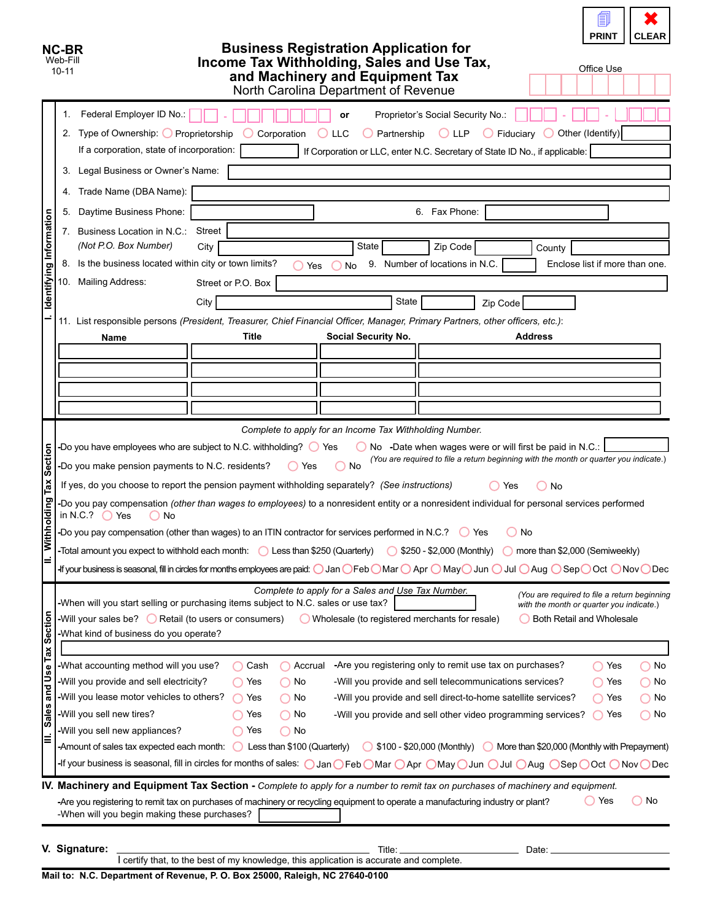| NC-BR<br>Web-Fill<br>$10 - 11$                        |                                                                                                                                                                                                                                                                                                                                                                                                                                                                                                                                                                                                                                                                                                                                                                                                                                                                                                                                                                                                                                                                                                                                                                                                                                                                                                                                                                                                                                                                                                                                                                                                                                                                                                                                                                                             |                                                                                                                                                                                                                                                                                                                                                                                                                                                                                                                                                                                                                                                                                                                                                                                                                                                                                                                                                                                                                                                                                                                                                                                                                                                                                                                           |                                                                                                                            |                    | <b>Business Registration Application for</b><br>Income Tax Withholding, Sales and Use Tax,<br>and Machinery and Equipment Tax<br>North Carolina Department of Revenue |                                                                                                                                                                                                                                                                                                                                                  |                                                  | 目<br><b>PRINT</b><br><b>CLEAR</b><br>Office Use    |
|-------------------------------------------------------|---------------------------------------------------------------------------------------------------------------------------------------------------------------------------------------------------------------------------------------------------------------------------------------------------------------------------------------------------------------------------------------------------------------------------------------------------------------------------------------------------------------------------------------------------------------------------------------------------------------------------------------------------------------------------------------------------------------------------------------------------------------------------------------------------------------------------------------------------------------------------------------------------------------------------------------------------------------------------------------------------------------------------------------------------------------------------------------------------------------------------------------------------------------------------------------------------------------------------------------------------------------------------------------------------------------------------------------------------------------------------------------------------------------------------------------------------------------------------------------------------------------------------------------------------------------------------------------------------------------------------------------------------------------------------------------------------------------------------------------------------------------------------------------------|---------------------------------------------------------------------------------------------------------------------------------------------------------------------------------------------------------------------------------------------------------------------------------------------------------------------------------------------------------------------------------------------------------------------------------------------------------------------------------------------------------------------------------------------------------------------------------------------------------------------------------------------------------------------------------------------------------------------------------------------------------------------------------------------------------------------------------------------------------------------------------------------------------------------------------------------------------------------------------------------------------------------------------------------------------------------------------------------------------------------------------------------------------------------------------------------------------------------------------------------------------------------------------------------------------------------------|----------------------------------------------------------------------------------------------------------------------------|--------------------|-----------------------------------------------------------------------------------------------------------------------------------------------------------------------|--------------------------------------------------------------------------------------------------------------------------------------------------------------------------------------------------------------------------------------------------------------------------------------------------------------------------------------------------|--------------------------------------------------|----------------------------------------------------|
| Identifying Information                               | 1.<br>3.<br>4.<br>5.<br>7. Business Location in N.C.:<br>(Not P.O. Box Number)<br>8.<br>10. Mailing Address:<br>Name                                                                                                                                                                                                                                                                                                                                                                                                                                                                                                                                                                                                                                                                                                                                                                                                                                                                                                                                                                                                                                                                                                                                                                                                                                                                                                                                                                                                                                                                                                                                                                                                                                                                        | Federal Employer ID No.:<br>2. Type of Ownership: O Proprietorship<br>If a corporation, state of incorporation:<br>Legal Business or Owner's Name:<br>Trade Name (DBA Name):<br>Daytime Business Phone:                                                                                                                                                                                                                                                                                                                                                                                                                                                                                                                                                                                                                                                                                                                                                                                                                                                                                                                                                                                                                                                                                                                   | <b>Street</b><br>City<br>Is the business located within city or town limits?<br>Street or P.O. Box<br>City<br><b>Title</b> | Corporation<br>Yes | or<br><b>LLC</b><br>Partnership<br>State<br>No<br>State<br>Social Security No.                                                                                        | Proprietor's Social Security No.:<br>$\bigcirc$ llp.<br>If Corporation or LLC, enter N.C. Secretary of State ID No., if applicable:<br>6. Fax Phone:<br>Zip Code<br>9. Number of locations in N.C.<br>Zip Code<br>11. List responsible persons (President, Treasurer, Chief Financial Officer, Manager, Primary Partners, other officers, etc.): | $\bigcirc$ Fiduciary<br>County<br><b>Address</b> | Other (Identify)<br>Enclose list if more than one. |
| Section<br>Tax<br>puiplc<br>Withh                     |                                                                                                                                                                                                                                                                                                                                                                                                                                                                                                                                                                                                                                                                                                                                                                                                                                                                                                                                                                                                                                                                                                                                                                                                                                                                                                                                                                                                                                                                                                                                                                                                                                                                                                                                                                                             | Complete to apply for an Income Tax Withholding Number.<br>-Do you have employees who are subject to N.C. withholding? $\bigcirc$ Yes<br>No -Date when wages were or will first be paid in N.C.:<br>(You are required to file a return beginning with the month or quarter you indicate.)<br>-Do you make pension payments to N.C. residents?<br>No<br>( Yes<br>If yes, do you choose to report the pension payment withholding separately? (See instructions)<br>Yes<br>No<br>-Do you pay compensation (other than wages to employees) to a nonresident entity or a nonresident individual for personal services performed<br>in N.C.? $\bigcirc$ Yes<br>No<br>-Do you pay compensation (other than wages) to an ITIN contractor for services performed in N.C.? $\bigcirc$ Yes<br>No<br>-Total amount you expect to withhold each month: $\bigcirc$ Less than \$250 (Quarterly)<br>S250 - \$2,000 (Monthly)<br>more than \$2,000 (Semiweekly)<br>-If your business is seasonal, fill in circles for months employees are paid: $\bigcirc$ Jan $\bigcirc$ Feb $\bigcirc$ Mar $\bigcirc$ Apr $\bigcirc$ May $\bigcirc$ Jun $\bigcirc$ Jul $\bigcirc$ Aug $\bigcirc$ Sep $\bigcirc$ Oct $\bigcirc$ Nov $\bigcirc$ Dec<br>Complete to apply for a Sales and Use Tax Number.<br>(You are required to file a return beginning |                                                                                                                            |                    |                                                                                                                                                                       |                                                                                                                                                                                                                                                                                                                                                  |                                                  |                                                    |
| <b>Section</b><br>Tax<br>and Use<br><b>Sales</b><br>Ξ | -When will you start selling or purchasing items subject to N.C. sales or use tax?<br>with the month or quarter you indicate.)<br>-Will your sales be? $\bigcirc$ Retail (to users or consumers)<br>Wholesale (to registered merchants for resale)<br>Both Retail and Wholesale<br>-What kind of business do you operate?<br>-What accounting method will you use?<br>-Are you registering only to remit use tax on purchases?<br>Cash<br>Accrual<br>$\bigcirc$ No<br>◯<br>◯ Yes<br>-Will you provide and sell electricity?<br>$\bigcap$ No<br>-Will you provide and sell telecommunications services?<br>$\bigcirc$ No<br>◯ Yes<br>◯ Yes<br>-Will you lease motor vehicles to others?<br>-Will you provide and sell direct-to-home satellite services?<br>Yes<br>$\bigcirc$ No<br>◯ Yes<br>( ) No<br>-Will you sell new tires?<br>$\bigcap$ No<br>-Will you provide and sell other video programming services?<br>$\bigcap$ No<br>Yes<br>◯ Yes<br>-Will you sell new appliances?<br>$\bigcap$ No<br>Yes<br>-Amount of sales tax expected each month: $\bigcirc$ Less than \$100 (Quarterly)<br>◯ \$100 - \$20,000 (Monthly) ◯ More than \$20,000 (Monthly with Prepayment)<br>-If your business is seasonal, fill in circles for months of sales: $\bigcirc$ Jan $\bigcirc$ Feb $\bigcirc$ Mar $\bigcirc$ Apr $\bigcirc$ May $\bigcirc$ Jun $\bigcirc$ Jul $\bigcirc$ Aug $\bigcirc$ Sep $\bigcirc$ Oct $\bigcirc$ Nov $\bigcirc$ Dec<br><b>IV. Machinery and Equipment Tax Section</b> - Complete to apply for a number to remit tax on purchases of machinery and equipment.<br>$\bigcirc$ Yes<br>No<br>-Are you registering to remit tax on purchases of machinery or recycling equipment to operate a manufacturing industry or plant?<br>-When will you begin making these purchases? |                                                                                                                                                                                                                                                                                                                                                                                                                                                                                                                                                                                                                                                                                                                                                                                                                                                                                                                                                                                                                                                                                                                                                                                                                                                                                                                           |                                                                                                                            |                    |                                                                                                                                                                       |                                                                                                                                                                                                                                                                                                                                                  |                                                  |                                                    |
|                                                       | V. Signature:<br>Moil to: N.C. Department of Povenue, B.O. Pov. 25000, Poloigh, N.C. 27640, 0400                                                                                                                                                                                                                                                                                                                                                                                                                                                                                                                                                                                                                                                                                                                                                                                                                                                                                                                                                                                                                                                                                                                                                                                                                                                                                                                                                                                                                                                                                                                                                                                                                                                                                            |                                                                                                                                                                                                                                                                                                                                                                                                                                                                                                                                                                                                                                                                                                                                                                                                                                                                                                                                                                                                                                                                                                                                                                                                                                                                                                                           |                                                                                                                            |                    | Title:<br>I certify that, to the best of my knowledge, this application is accurate and complete.                                                                     |                                                                                                                                                                                                                                                                                                                                                  | Date:                                            |                                                    |

**Mail to: N.C. Department of Revenue, P. O. Box 25000, Raleigh, NC 27640-0100**